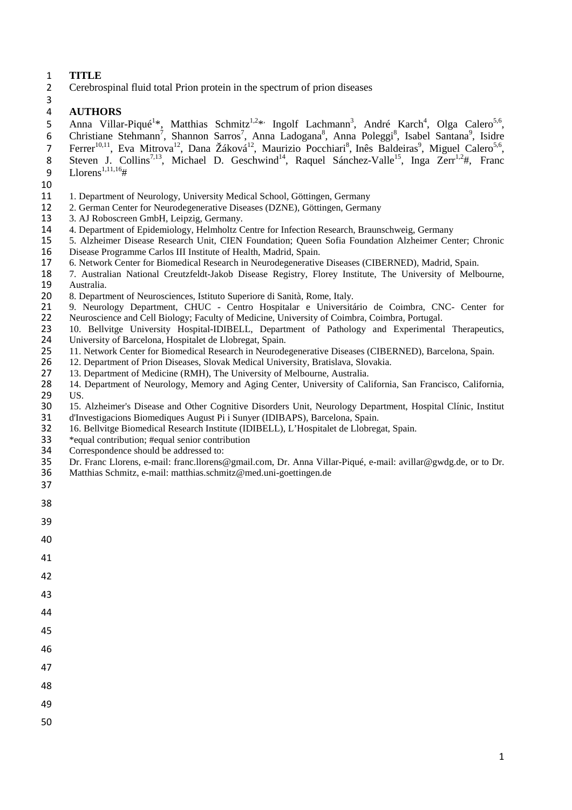#### **TITLE**

Cerebrospinal fluid total Prion protein in the spectrum of prion diseases

#### **AUTHORS**

5 Anna Villar-Piqué<sup>1\*</sup>, Matthias Schmitz<sup>1,2\*</sup> Ingolf Lachmann<sup>3</sup>, André Karch<sup>4</sup>, Olga Calero<sup>5,6</sup>, 6 Christiane Stehmann<sup>7</sup>, Shannon Sarros<sup>7</sup>, Anna Ladogana<sup>8</sup>, Anna Poleggi<sup>8</sup>, Isabel Santana<sup>9</sup>, Isidre 7 Ferrer<sup>10,11</sup>, Eva Mitrova<sup>12</sup>, Dana Žáková<sup>12</sup>, Maurizio Pocchiari<sup>8</sup>, Inês Baldeiras<sup>9</sup>, Miguel Calero<sup>5,6</sup>, 8 Steven J. Collins<sup>7,13</sup>, Michael D. Geschwind<sup>14</sup>, Raquel Sánchez-Valle<sup>15</sup>, Inga Zerr<sup>1,2</sup>#, Franc 9  $Llorens^{1,11,16}$ #

- 
- 1. Department of Neurology, University Medical School, Göttingen, Germany
- 2. German Center for Neurodegenerative Diseases (DZNE), Göttingen, Germany
- 3. AJ Roboscreen GmbH, Leipzig, Germany.
- 4. Department of Epidemiology, Helmholtz Centre for Infection Research, Braunschweig, Germany
- 5. Alzheimer Disease Research Unit, CIEN Foundation; Queen Sofia Foundation Alzheimer Center; Chronic Disease Programme Carlos III Institute of Health, Madrid, Spain.
- 6. Network Center for Biomedical Research in Neurodegenerative Diseases (CIBERNED), Madrid, Spain.
- 7. Australian National Creutzfeldt-Jakob Disease Registry, Florey Institute, The University of Melbourne, 19 Australia.<br>20 8. Departr
- 8. Department of Neurosciences, Istituto Superiore di Sanità, Rome, Italy.
- 21 9. Neurology Department, CHUC Centro Hospitalar e Universitário de Coimbra, CNC- Center for<br>22 Neuroscience and Cell Biology; Faculty of Medicine, University of Coimbra, Coimbra, Portugal. Neuroscience and Cell Biology; Faculty of Medicine, University of Coimbra, Coimbra, Portugal.
- 23 10. Bellvitge University Hospital-IDIBELL, Department of Pathology and Experimental Therapeutics, University of Barcelona, Hospitalet de Llobregat, Spain.
- 25 11. Network Center for Biomedical Research in Neurodegenerative Diseases (CIBERNED), Barcelona, Spain.<br>26 12. Department of Prion Diseases, Slovak Medical University, Bratislava, Slovakia.
- 26 12. Department of Prion Diseases, Slovak Medical University, Bratislava, Slovakia.<br>27 13. Department of Medicine (RMH), The University of Melbourne, Australia.
- 27 13. Department of Medicine (RMH), The University of Melbourne, Australia.<br>28 14. Department of Neurology, Memory and Aging Center, University of Cal
- 14. Department of Neurology, Memory and Aging Center, University of California, San Francisco, California, 29 US.<br>30 15.
- 30 15. Alzheimer's Disease and Other Cognitive Disorders Unit, Neurology Department, Hospital Clínic, Institut d'Investigacions Biomediques August Pi i Sunyer (IDIBAPS), Barcelona, Spain. d'Investigacions Biomediques August Pi i Sunyer (IDIBAPS), Barcelona, Spain.
- 16. Bellvitge Biomedical Research Institute (IDIBELL), L'Hospitalet de Llobregat, Spain.
- 33  $*$ equal contribution; #equal senior contribution<br>34 Correspondence should be addressed to:
- Correspondence should be addressed to:
- Dr. Franc Llorens, e-mail: franc.llorens@gmail.com, Dr. Anna Villar-Piqué, e-mail: avillar@gwdg.de, or to Dr.
- Matthias Schmitz, e-mail: matthias.schmitz@med.uni-goettingen.de
- 

| 39 |  |  |  |
|----|--|--|--|
| 40 |  |  |  |
| 41 |  |  |  |
| 42 |  |  |  |
| 43 |  |  |  |
| 44 |  |  |  |
| 45 |  |  |  |
| 46 |  |  |  |
| 47 |  |  |  |

- 
- 
- 
-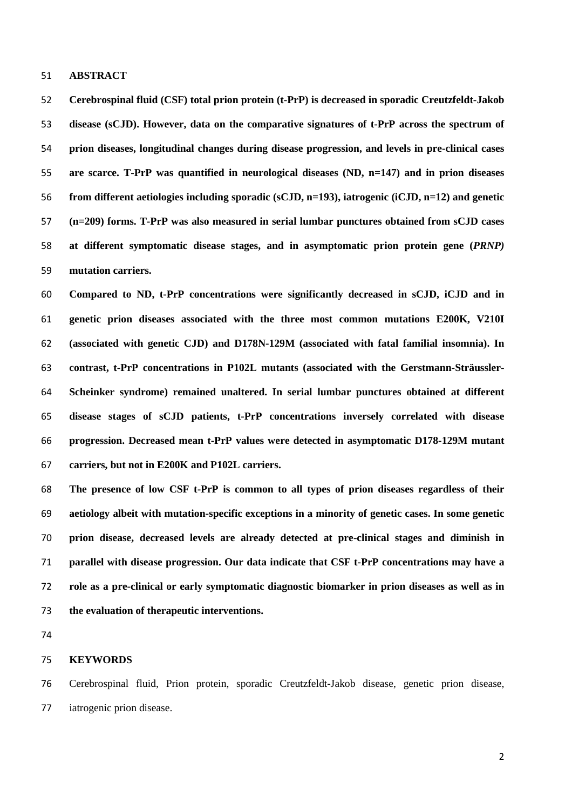#### **ABSTRACT**

**Cerebrospinal fluid (CSF) total prion protein (t-PrP) is decreased in sporadic Creutzfeldt-Jakob disease (sCJD). However, data on the comparative signatures of t-PrP across the spectrum of prion diseases, longitudinal changes during disease progression, and levels in pre-clinical cases are scarce. T-PrP was quantified in neurological diseases (ND, n=147) and in prion diseases from different aetiologies including sporadic (sCJD, n=193), iatrogenic (iCJD, n=12) and genetic (n=209) forms. T-PrP was also measured in serial lumbar punctures obtained from sCJD cases at different symptomatic disease stages, and in asymptomatic prion protein gene (***PRNP)* **mutation carriers.** 

**Compared to ND, t-PrP concentrations were significantly decreased in sCJD, iCJD and in genetic prion diseases associated with the three most common mutations E200K, V210I (associated with genetic CJD) and D178N-129M (associated with fatal familial insomnia). In contrast, t-PrP concentrations in P102L mutants (associated with the Gerstmann-Sträussler-Scheinker syndrome) remained unaltered. In serial lumbar punctures obtained at different disease stages of sCJD patients, t-PrP concentrations inversely correlated with disease progression. Decreased mean t-PrP values were detected in asymptomatic D178-129M mutant carriers, but not in E200K and P102L carriers.** 

**The presence of low CSF t-PrP is common to all types of prion diseases regardless of their aetiology albeit with mutation-specific exceptions in a minority of genetic cases. In some genetic prion disease, decreased levels are already detected at pre-clinical stages and diminish in parallel with disease progression. Our data indicate that CSF t-PrP concentrations may have a role as a pre-clinical or early symptomatic diagnostic biomarker in prion diseases as well as in the evaluation of therapeutic interventions.**

#### **KEYWORDS**

Cerebrospinal fluid, Prion protein, sporadic Creutzfeldt-Jakob disease, genetic prion disease, iatrogenic prion disease.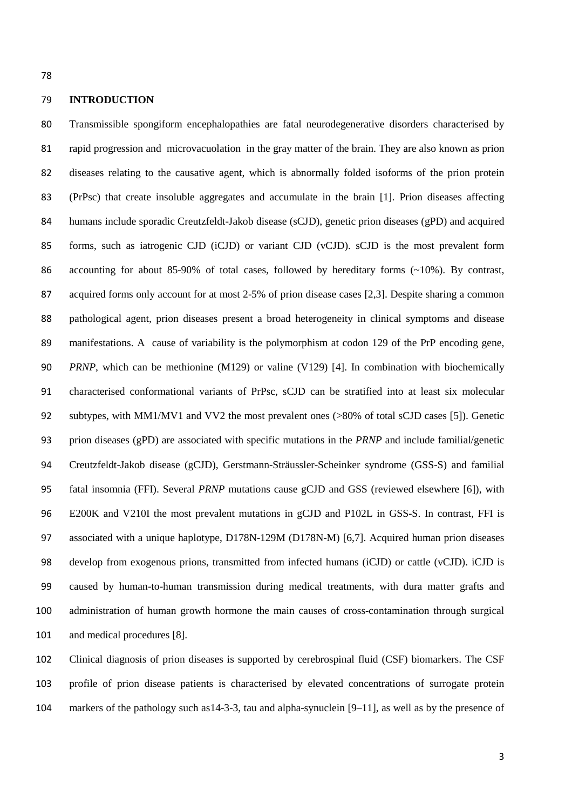#### **INTRODUCTION**

Transmissible spongiform encephalopathies are fatal neurodegenerative disorders characterised by rapid progression and microvacuolation in the gray matter of the brain. They are also known as prion diseases relating to the causative agent, which is abnormally folded isoforms of the prion protein (PrPsc) that create insoluble aggregates and accumulate in the brain [1]. Prion diseases affecting humans include sporadic Creutzfeldt-Jakob disease (sCJD), genetic prion diseases (gPD) and acquired forms, such as iatrogenic CJD (iCJD) or variant CJD (vCJD). sCJD is the most prevalent form accounting for about 85-90% of total cases, followed by hereditary forms (~10%). By contrast, acquired forms only account for at most 2-5% of prion disease cases [2,3]. Despite sharing a common pathological agent, prion diseases present a broad heterogeneity in clinical symptoms and disease manifestations. A cause of variability is the polymorphism at codon 129 of the PrP encoding gene, *PRNP*, which can be methionine (M129) or valine (V129) [4]. In combination with biochemically characterised conformational variants of PrPsc, sCJD can be stratified into at least six molecular subtypes, with MM1/MV1 and VV2 the most prevalent ones (>80% of total sCJD cases [5]). Genetic prion diseases (gPD) are associated with specific mutations in the *PRNP* and include familial/genetic Creutzfeldt-Jakob disease (gCJD), Gerstmann-Sträussler-Scheinker syndrome (GSS-S) and familial fatal insomnia (FFI). Several *PRNP* mutations cause gCJD and GSS (reviewed elsewhere [6]), with E200K and V210I the most prevalent mutations in gCJD and P102L in GSS-S. In contrast, FFI is associated with a unique haplotype, D178N-129M (D178N-M) [6,7]. Acquired human prion diseases 98 develop from exogenous prions, transmitted from infected humans (iCJD) or cattle (vCJD). iCJD is caused by human-to-human transmission during medical treatments, with dura matter grafts and administration of human growth hormone the main causes of cross-contamination through surgical and medical procedures [8].

Clinical diagnosis of prion diseases is supported by cerebrospinal fluid (CSF) biomarkers. The CSF profile of prion disease patients is characterised by elevated concentrations of surrogate protein markers of the pathology such as14-3-3, tau and alpha-synuclein [9–11], as well as by the presence of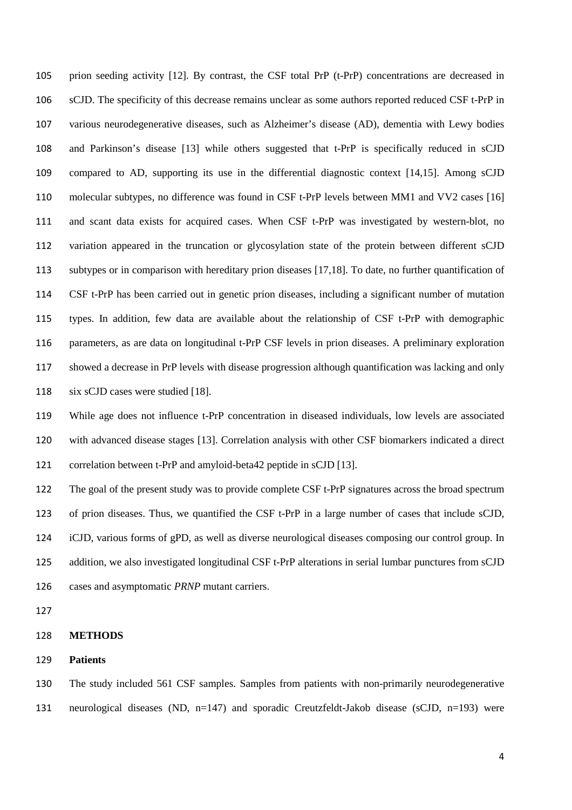prion seeding activity [12]. By contrast, the CSF total PrP (t-PrP) concentrations are decreased in sCJD. The specificity of this decrease remains unclear as some authors reported reduced CSF t-PrP in various neurodegenerative diseases, such as Alzheimer's disease (AD), dementia with Lewy bodies and Parkinson's disease [13] while others suggested that t-PrP is specifically reduced in sCJD compared to AD, supporting its use in the differential diagnostic context [14,15]. Among sCJD molecular subtypes, no difference was found in CSF t-PrP levels between MM1 and VV2 cases [16] and scant data exists for acquired cases. When CSF t-PrP was investigated by western-blot, no variation appeared in the truncation or glycosylation state of the protein between different sCJD subtypes or in comparison with hereditary prion diseases [17,18]. To date, no further quantification of CSF t-PrP has been carried out in genetic prion diseases, including a significant number of mutation types. In addition, few data are available about the relationship of CSF t-PrP with demographic parameters, as are data on longitudinal t-PrP CSF levels in prion diseases. A preliminary exploration showed a decrease in PrP levels with disease progression although quantification was lacking and only six sCJD cases were studied [18].

While age does not influence t-PrP concentration in diseased individuals, low levels are associated with advanced disease stages [13]. Correlation analysis with other CSF biomarkers indicated a direct correlation between t-PrP and amyloid-beta42 peptide in sCJD [13].

The goal of the present study was to provide complete CSF t-PrP signatures across the broad spectrum of prion diseases. Thus, we quantified the CSF t-PrP in a large number of cases that include sCJD, iCJD, various forms of gPD, as well as diverse neurological diseases composing our control group. In addition, we also investigated longitudinal CSF t-PrP alterations in serial lumbar punctures from sCJD cases and asymptomatic *PRNP* mutant carriers.

#### **METHODS**

#### **Patients**

The study included 561 CSF samples. Samples from patients with non-primarily neurodegenerative neurological diseases (ND, n=147) and sporadic Creutzfeldt-Jakob disease (sCJD, n=193) were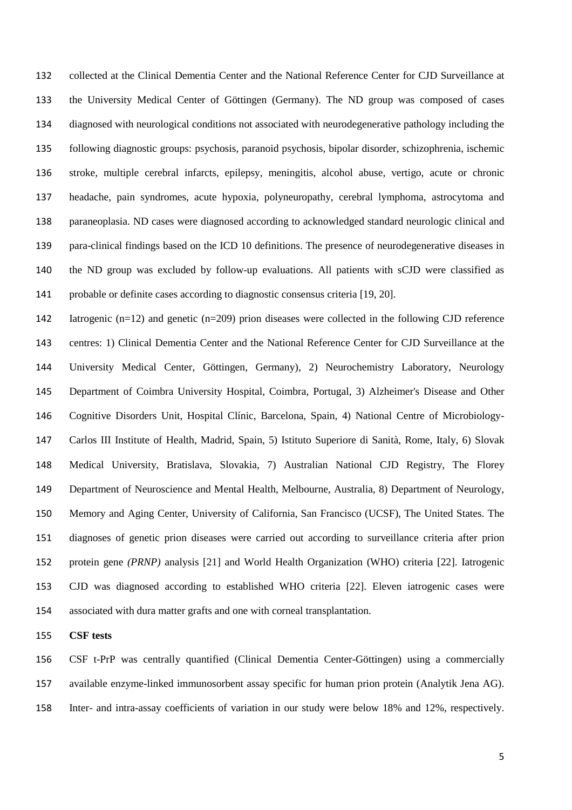collected at the Clinical Dementia Center and the National Reference Center for CJD Surveillance at the University Medical Center of Göttingen (Germany). The ND group was composed of cases diagnosed with neurological conditions not associated with neurodegenerative pathology including the following diagnostic groups: psychosis, paranoid psychosis, bipolar disorder, schizophrenia, ischemic stroke, multiple cerebral infarcts, epilepsy, meningitis, alcohol abuse, vertigo, acute or chronic headache, pain syndromes, acute hypoxia, polyneuropathy, cerebral lymphoma, astrocytoma and paraneoplasia. ND cases were diagnosed according to acknowledged standard neurologic clinical and para-clinical findings based on the ICD 10 definitions. The presence of neurodegenerative diseases in the ND group was excluded by follow-up evaluations. All patients with sCJD were classified as probable or definite cases according to diagnostic consensus criteria [19, 20].

Iatrogenic (n=12) and genetic (n=209) prion diseases were collected in the following CJD reference centres: 1) Clinical Dementia Center and the National Reference Center for CJD Surveillance at the University Medical Center, Göttingen, Germany), 2) Neurochemistry Laboratory, Neurology Department of Coimbra University Hospital, Coimbra, Portugal, 3) Alzheimer's Disease and Other Cognitive Disorders Unit, Hospital Clínic, Barcelona, Spain, 4) National Centre of Microbiology-Carlos III Institute of Health, Madrid, Spain, 5) Istituto Superiore di Sanità, Rome, Italy, 6) Slovak Medical University, Bratislava, Slovakia, 7) Australian National CJD Registry, The Florey Department of Neuroscience and Mental Health, Melbourne, Australia, 8) Department of Neurology, Memory and Aging Center, University of California, San Francisco (UCSF), The United States. The diagnoses of genetic prion diseases were carried out according to surveillance criteria after prion protein gene *(PRNP)* analysis [21] and World Health Organization (WHO) criteria [22]. Iatrogenic CJD was diagnosed according to established WHO criteria [22]. Eleven iatrogenic cases were associated with dura matter grafts and one with corneal transplantation.

**CSF tests** 

CSF t-PrP was centrally quantified (Clinical Dementia Center-Göttingen) using a commercially available enzyme-linked immunosorbent assay specific for human prion protein (Analytik Jena AG). Inter- and intra-assay coefficients of variation in our study were below 18% and 12%, respectively.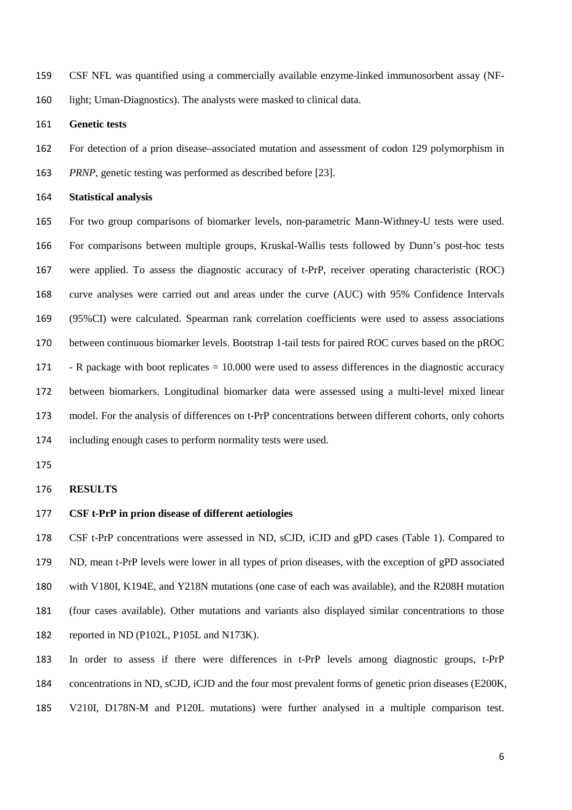- CSF NFL was quantified using a commercially available enzyme-linked immunosorbent assay (NF-
- light; Uman-Diagnostics). The analysts were masked to clinical data.
- **Genetic tests**
- For detection of a prion disease–associated mutation and assessment of codon 129 polymorphism in
- *PRNP*, genetic testing was performed as described before [23].
- **Statistical analysis**

For two group comparisons of biomarker levels, non-parametric Mann-Withney-U tests were used. For comparisons between multiple groups, Kruskal-Wallis tests followed by Dunn's post-hoc tests were applied. To assess the diagnostic accuracy of t-PrP, receiver operating characteristic (ROC) curve analyses were carried out and areas under the curve (AUC) with 95% Confidence Intervals (95%CI) were calculated. Spearman rank correlation coefficients were used to assess associations between continuous biomarker levels. Bootstrap 1-tail tests for paired ROC curves based on the pROC - R package with boot replicates = 10.000 were used to assess differences in the diagnostic accuracy between biomarkers. Longitudinal biomarker data were assessed using a multi-level mixed linear model. For the analysis of differences on t-PrP concentrations between different cohorts, only cohorts including enough cases to perform normality tests were used.

#### **RESULTS**

#### **CSF t-PrP in prion disease of different aetiologies**

CSF t-PrP concentrations were assessed in ND, sCJD, iCJD and gPD cases (Table 1). Compared to ND, mean t-PrP levels were lower in all types of prion diseases, with the exception of gPD associated with V180I, K194E, and Y218N mutations (one case of each was available), and the R208H mutation (four cases available). Other mutations and variants also displayed similar concentrations to those reported in ND (P102L, P105L and N173K).

In order to assess if there were differences in t-PrP levels among diagnostic groups, t-PrP concentrations in ND, sCJD, iCJD and the four most prevalent forms of genetic prion diseases (E200K, V210I, D178N-M and P120L mutations) were further analysed in a multiple comparison test.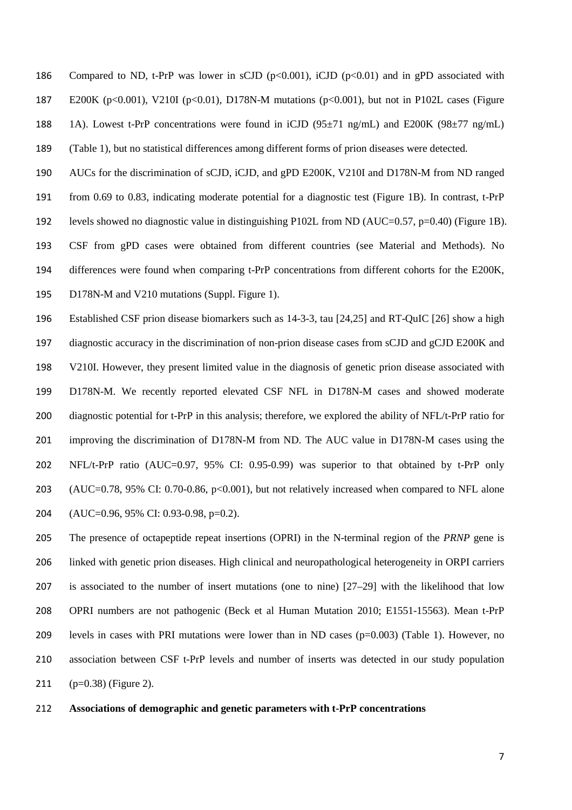186 Compared to ND, t-PrP was lower in sCJD ( $p<0.001$ ), iCJD ( $p<0.01$ ) and in gPD associated with E200K (p<0.001), V210I (p<0.01), D178N-M mutations (p<0.001), but not in P102L cases (Figure 188 1A). Lowest t-PrP concentrations were found in iCJD ( $95\pm71$  ng/mL) and E200K ( $98\pm77$  ng/mL) (Table 1), but no statistical differences among different forms of prion diseases were detected.

AUCs for the discrimination of sCJD, iCJD, and gPD E200K, V210I and D178N-M from ND ranged from 0.69 to 0.83, indicating moderate potential for a diagnostic test (Figure 1B). In contrast, t-PrP levels showed no diagnostic value in distinguishing P102L from ND (AUC=0.57, p=0.40) (Figure 1B). CSF from gPD cases were obtained from different countries (see Material and Methods). No differences were found when comparing t-PrP concentrations from different cohorts for the E200K, D178N-M and V210 mutations (Suppl. Figure 1).

Established CSF prion disease biomarkers such as 14-3-3, tau [24,25] and RT-QuIC [26] show a high diagnostic accuracy in the discrimination of non-prion disease cases from sCJD and gCJD E200K and V210I. However, they present limited value in the diagnosis of genetic prion disease associated with D178N-M. We recently reported elevated CSF NFL in D178N-M cases and showed moderate 200 diagnostic potential for t-PrP in this analysis; therefore, we explored the ability of NFL/t-PrP ratio for improving the discrimination of D178N-M from ND. The AUC value in D178N-M cases using the NFL/t-PrP ratio (AUC=0.97, 95% CI: 0.95-0.99) was superior to that obtained by t-PrP only 203 (AUC=0.78, 95% CI: 0.70-0.86, p<0.001), but not relatively increased when compared to NFL alone (AUC=0.96, 95% CI: 0.93-0.98, p=0.2).

The presence of octapeptide repeat insertions (OPRI) in the N-terminal region of the *PRNP* gene is linked with genetic prion diseases. High clinical and neuropathological heterogeneity in ORPI carriers is associated to the number of insert mutations (one to nine) [27–29] with the likelihood that low OPRI numbers are not pathogenic (Beck et al Human Mutation 2010; E1551-15563). Mean t-PrP levels in cases with PRI mutations were lower than in ND cases (p=0.003) (Table 1). However, no association between CSF t-PrP levels and number of inserts was detected in our study population (p=0.38) (Figure 2).

#### **Associations of demographic and genetic parameters with t-PrP concentrations**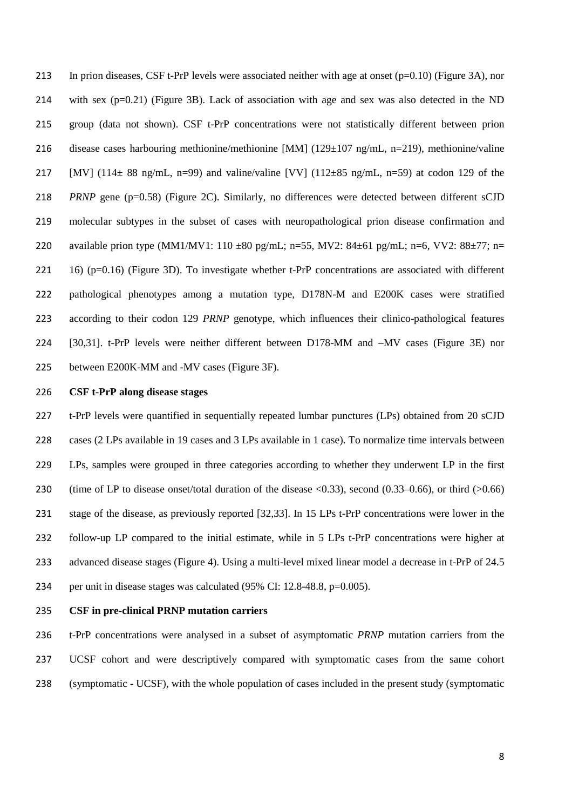213 In prion diseases, CSF t-PrP levels were associated neither with age at onset  $(p=0.10)$  (Figure 3A), nor 214 with sex (p=0.21) (Figure 3B). Lack of association with age and sex was also detected in the ND group (data not shown). CSF t-PrP concentrations were not statistically different between prion disease cases harbouring methionine/methionine [MM] (129±107 ng/mL, n=219), methionine/valine 217 [MV] (114 $\pm$  88 ng/mL, n=99) and valine/valine [VV] (112 $\pm$ 85 ng/mL, n=59) at codon 129 of the *PRNP* gene (p=0.58) (Figure 2C). Similarly, no differences were detected between different sCJD molecular subtypes in the subset of cases with neuropathological prion disease confirmation and 220 available prion type (MM1/MV1: 110 ±80 pg/mL; n=55, MV2: 84±61 pg/mL; n=6, VV2: 88±77; n= 16) (p=0.16) (Figure 3D). To investigate whether t-PrP concentrations are associated with different pathological phenotypes among a mutation type, D178N-M and E200K cases were stratified according to their codon 129 *PRNP* genotype, which influences their clinico-pathological features [30,31]. t-PrP levels were neither different between D178-MM and –MV cases (Figure 3E) nor between E200K-MM and -MV cases (Figure 3F).

#### **CSF t-PrP along disease stages**

t-PrP levels were quantified in sequentially repeated lumbar punctures (LPs) obtained from 20 sCJD cases (2 LPs available in 19 cases and 3 LPs available in 1 case). To normalize time intervals between LPs, samples were grouped in three categories according to whether they underwent LP in the first 230 (time of LP to disease onset/total duration of the disease <0.33), second (0.33–0.66), or third (>0.66) stage of the disease, as previously reported [32,33]. In 15 LPs t-PrP concentrations were lower in the follow-up LP compared to the initial estimate, while in 5 LPs t-PrP concentrations were higher at 233 advanced disease stages (Figure 4). Using a multi-level mixed linear model a decrease in t-PrP of 24.5 per unit in disease stages was calculated (95% CI: 12.8-48.8, p=0.005).

#### **CSF in pre-clinical PRNP mutation carriers**

t-PrP concentrations were analysed in a subset of asymptomatic *PRNP* mutation carriers from the UCSF cohort and were descriptively compared with symptomatic cases from the same cohort (symptomatic - UCSF), with the whole population of cases included in the present study (symptomatic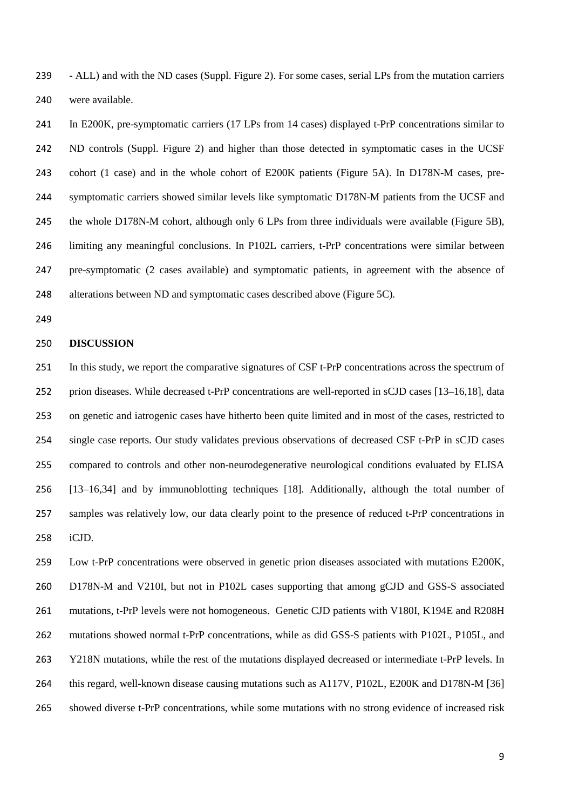- ALL) and with the ND cases (Suppl. Figure 2). For some cases, serial LPs from the mutation carriers were available.

In E200K, pre-symptomatic carriers (17 LPs from 14 cases) displayed t-PrP concentrations similar to ND controls (Suppl. Figure 2) and higher than those detected in symptomatic cases in the UCSF cohort (1 case) and in the whole cohort of E200K patients (Figure 5A). In D178N-M cases, pre-symptomatic carriers showed similar levels like symptomatic D178N-M patients from the UCSF and 245 the whole D178N-M cohort, although only 6 LPs from three individuals were available (Figure 5B), limiting any meaningful conclusions. In P102L carriers, t-PrP concentrations were similar between pre-symptomatic (2 cases available) and symptomatic patients, in agreement with the absence of alterations between ND and symptomatic cases described above (Figure 5C).

#### **DISCUSSION**

In this study, we report the comparative signatures of CSF t-PrP concentrations across the spectrum of prion diseases. While decreased t-PrP concentrations are well-reported in sCJD cases [13–16,18], data on genetic and iatrogenic cases have hitherto been quite limited and in most of the cases, restricted to single case reports. Our study validates previous observations of decreased CSF t-PrP in sCJD cases compared to controls and other non-neurodegenerative neurological conditions evaluated by ELISA [13–16,34] and by immunoblotting techniques [18]. Additionally, although the total number of samples was relatively low, our data clearly point to the presence of reduced t-PrP concentrations in iCJD.

Low t-PrP concentrations were observed in genetic prion diseases associated with mutations E200K, D178N-M and V210I, but not in P102L cases supporting that among gCJD and GSS-S associated 261 mutations, t-PrP levels were not homogeneous. Genetic CJD patients with V180I, K194E and R208H mutations showed normal t-PrP concentrations, while as did GSS-S patients with P102L, P105L, and 263 Y218N mutations, while the rest of the mutations displayed decreased or intermediate t-PrP levels. In 264 this regard, well-known disease causing mutations such as A117V, P102L, E200K and D178N-M [36] showed diverse t-PrP concentrations, while some mutations with no strong evidence of increased risk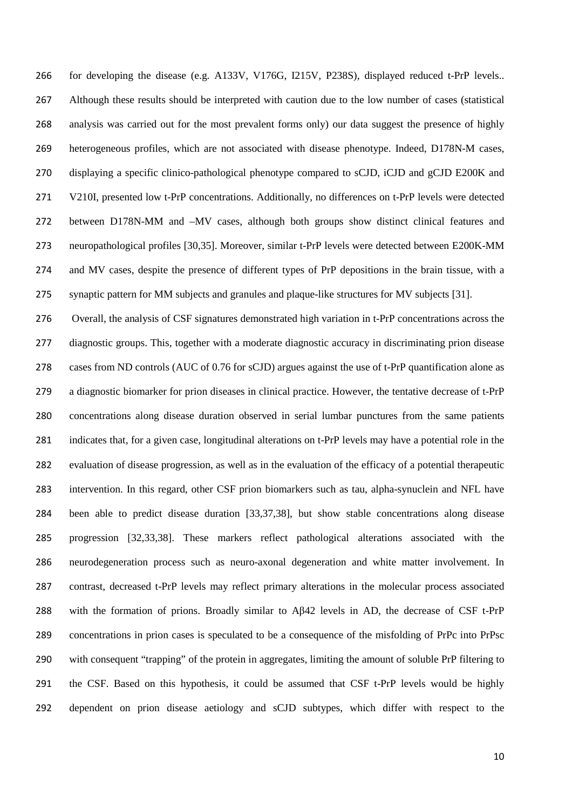for developing the disease (e.g. A133V, V176G, I215V, P238S), displayed reduced t-PrP levels.. Although these results should be interpreted with caution due to the low number of cases (statistical analysis was carried out for the most prevalent forms only) our data suggest the presence of highly heterogeneous profiles, which are not associated with disease phenotype. Indeed, D178N-M cases, displaying a specific clinico-pathological phenotype compared to sCJD, iCJD and gCJD E200K and V210I, presented low t-PrP concentrations. Additionally, no differences on t-PrP levels were detected between D178N-MM and –MV cases, although both groups show distinct clinical features and neuropathological profiles [30,35]. Moreover, similar t-PrP levels were detected between E200K-MM and MV cases, despite the presence of different types of PrP depositions in the brain tissue, with a synaptic pattern for MM subjects and granules and plaque-like structures for MV subjects [31].

Overall, the analysis of CSF signatures demonstrated high variation in t-PrP concentrations across the diagnostic groups. This, together with a moderate diagnostic accuracy in discriminating prion disease cases from ND controls (AUC of 0.76 for sCJD) argues against the use of t-PrP quantification alone as a diagnostic biomarker for prion diseases in clinical practice. However, the tentative decrease of t-PrP concentrations along disease duration observed in serial lumbar punctures from the same patients indicates that, for a given case, longitudinal alterations on t-PrP levels may have a potential role in the evaluation of disease progression, as well as in the evaluation of the efficacy of a potential therapeutic intervention. In this regard, other CSF prion biomarkers such as tau, alpha-synuclein and NFL have been able to predict disease duration [33,37,38], but show stable concentrations along disease progression [32,33,38]. These markers reflect pathological alterations associated with the neurodegeneration process such as neuro-axonal degeneration and white matter involvement. In contrast, decreased t-PrP levels may reflect primary alterations in the molecular process associated with the formation of prions. Broadly similar to Aβ42 levels in AD, the decrease of CSF t-PrP concentrations in prion cases is speculated to be a consequence of the misfolding of PrPc into PrPsc with consequent "trapping" of the protein in aggregates, limiting the amount of soluble PrP filtering to the CSF. Based on this hypothesis, it could be assumed that CSF t-PrP levels would be highly dependent on prion disease aetiology and sCJD subtypes, which differ with respect to the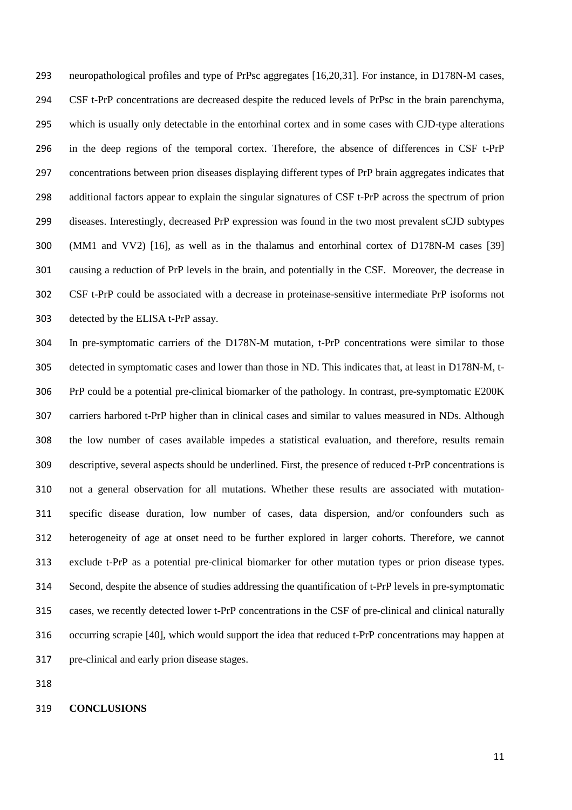neuropathological profiles and type of PrPsc aggregates [16,20,31]. For instance, in D178N-M cases, CSF t-PrP concentrations are decreased despite the reduced levels of PrPsc in the brain parenchyma, which is usually only detectable in the entorhinal cortex and in some cases with CJD-type alterations in the deep regions of the temporal cortex. Therefore, the absence of differences in CSF t-PrP concentrations between prion diseases displaying different types of PrP brain aggregates indicates that additional factors appear to explain the singular signatures of CSF t-PrP across the spectrum of prion diseases. Interestingly, decreased PrP expression was found in the two most prevalent sCJD subtypes (MM1 and VV2) [16], as well as in the thalamus and entorhinal cortex of D178N-M cases [39] causing a reduction of PrP levels in the brain, and potentially in the CSF. Moreover, the decrease in CSF t-PrP could be associated with a decrease in proteinase-sensitive intermediate PrP isoforms not detected by the ELISA t-PrP assay.

In pre-symptomatic carriers of the D178N-M mutation, t-PrP concentrations were similar to those detected in symptomatic cases and lower than those in ND. This indicates that, at least in D178N-M, t-PrP could be a potential pre-clinical biomarker of the pathology. In contrast, pre-symptomatic E200K carriers harbored t-PrP higher than in clinical cases and similar to values measured in NDs. Although the low number of cases available impedes a statistical evaluation, and therefore, results remain descriptive, several aspects should be underlined. First, the presence of reduced t-PrP concentrations is not a general observation for all mutations. Whether these results are associated with mutation-specific disease duration, low number of cases, data dispersion, and/or confounders such as heterogeneity of age at onset need to be further explored in larger cohorts. Therefore, we cannot exclude t-PrP as a potential pre-clinical biomarker for other mutation types or prion disease types. Second, despite the absence of studies addressing the quantification of t-PrP levels in pre-symptomatic cases, we recently detected lower t-PrP concentrations in the CSF of pre-clinical and clinical naturally occurring scrapie [40], which would support the idea that reduced t-PrP concentrations may happen at pre-clinical and early prion disease stages.

#### **CONCLUSIONS**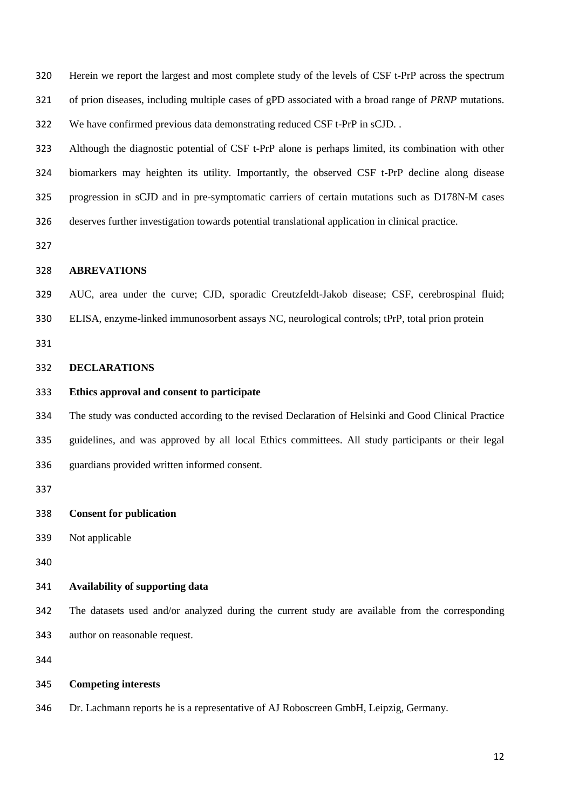Herein we report the largest and most complete study of the levels of CSF t-PrP across the spectrum of prion diseases, including multiple cases of gPD associated with a broad range of *PRNP* mutations. We have confirmed previous data demonstrating reduced CSF t-PrP in sCJD. .

Although the diagnostic potential of CSF t-PrP alone is perhaps limited, its combination with other biomarkers may heighten its utility. Importantly, the observed CSF t-PrP decline along disease progression in sCJD and in pre-symptomatic carriers of certain mutations such as D178N-M cases deserves further investigation towards potential translational application in clinical practice.

#### **ABREVATIONS**

AUC, area under the curve; CJD, sporadic Creutzfeldt-Jakob disease; CSF, cerebrospinal fluid;

ELISA, enzyme-linked immunosorbent assays NC, neurological controls; tPrP, total prion protein

#### **DECLARATIONS**

#### **Ethics approval and consent to participate**

The study was conducted according to the revised Declaration of Helsinki and Good Clinical Practice guidelines, and was approved by all local Ethics committees. All study participants or their legal guardians provided written informed consent.

#### **Consent for publication**

Not applicable

#### **Availability of supporting data**

The datasets used and/or analyzed during the current study are available from the corresponding author on reasonable request.

#### **Competing interests**

Dr. Lachmann reports he is a representative of AJ Roboscreen GmbH, Leipzig, Germany.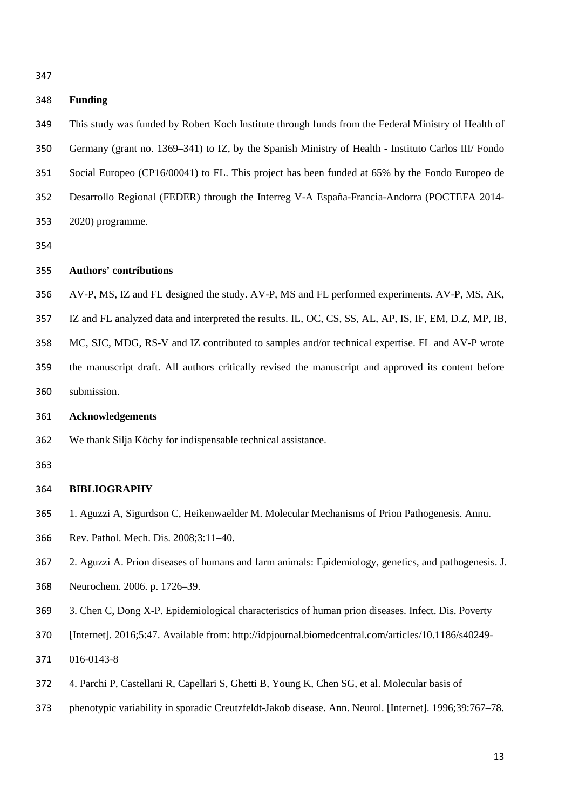#### **Funding**

This study was funded by Robert Koch Institute through funds from the Federal Ministry of Health of Germany (grant no. 1369–341) to IZ, by the Spanish Ministry of Health - Instituto Carlos III/ Fondo Social Europeo (CP16/00041) to FL. This project has been funded at 65% by the Fondo Europeo de Desarrollo Regional (FEDER) through the Interreg V-A España-Francia-Andorra (POCTEFA 2014- 2020) programme.

#### **Authors' contributions**

- AV-P, MS, IZ and FL designed the study. AV-P, MS and FL performed experiments. AV-P, MS, AK,
- IZ and FL analyzed data and interpreted the results. IL, OC, CS, SS, AL, AP, IS, IF, EM, D.Z, MP, IB,
- MC, SJC, MDG, RS-V and IZ contributed to samples and/or technical expertise. FL and AV-P wrote
- the manuscript draft. All authors critically revised the manuscript and approved its content before submission.

#### **Acknowledgements**

- We thank Silja Köchy for indispensable technical assistance.
- 

#### **BIBLIOGRAPHY**

- 1. Aguzzi A, Sigurdson C, Heikenwaelder M. Molecular Mechanisms of Prion Pathogenesis. Annu.
- Rev. Pathol. Mech. Dis. 2008;3:11–40.
- 2. Aguzzi A. Prion diseases of humans and farm animals: Epidemiology, genetics, and pathogenesis. J.
- Neurochem. 2006. p. 1726–39.
- 3. Chen C, Dong X-P. Epidemiological characteristics of human prion diseases. Infect. Dis. Poverty
- [Internet]. 2016;5:47. Available from: http://idpjournal.biomedcentral.com/articles/10.1186/s40249-
- 016-0143-8
- 4. Parchi P, Castellani R, Capellari S, Ghetti B, Young K, Chen SG, et al. Molecular basis of
- phenotypic variability in sporadic Creutzfeldt-Jakob disease. Ann. Neurol. [Internet]. 1996;39:767–78.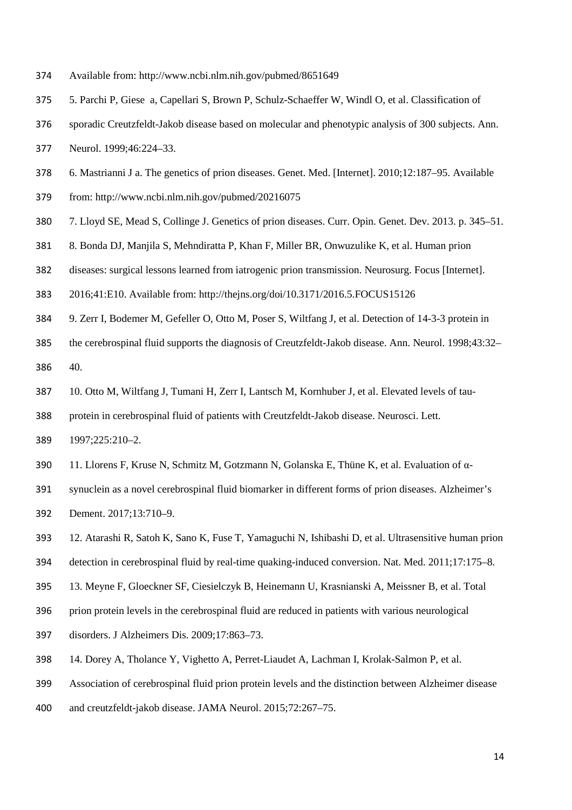- Available from: http://www.ncbi.nlm.nih.gov/pubmed/8651649
- 5. Parchi P, Giese a, Capellari S, Brown P, Schulz-Schaeffer W, Windl O, et al. Classification of
- sporadic Creutzfeldt-Jakob disease based on molecular and phenotypic analysis of 300 subjects. Ann.
- Neurol. 1999;46:224–33.
- 6. Mastrianni J a. The genetics of prion diseases. Genet. Med. [Internet]. 2010;12:187–95. Available
- from: http://www.ncbi.nlm.nih.gov/pubmed/20216075
- 7. Lloyd SE, Mead S, Collinge J. Genetics of prion diseases. Curr. Opin. Genet. Dev. 2013. p. 345–51.
- 8. Bonda DJ, Manjila S, Mehndiratta P, Khan F, Miller BR, Onwuzulike K, et al. Human prion
- diseases: surgical lessons learned from iatrogenic prion transmission. Neurosurg. Focus [Internet].
- 2016;41:E10. Available from: http://thejns.org/doi/10.3171/2016.5.FOCUS15126
- 9. Zerr I, Bodemer M, Gefeller O, Otto M, Poser S, Wiltfang J, et al. Detection of 14-3-3 protein in
- the cerebrospinal fluid supports the diagnosis of Creutzfeldt-Jakob disease. Ann. Neurol. 1998;43:32–
- 40.
- 10. Otto M, Wiltfang J, Tumani H, Zerr I, Lantsch M, Kornhuber J, et al. Elevated levels of tau-
- protein in cerebrospinal fluid of patients with Creutzfeldt-Jakob disease. Neurosci. Lett.
- 1997;225:210–2.
- 11. Llorens F, Kruse N, Schmitz M, Gotzmann N, Golanska E, Thüne K, et al. Evaluation of α-
- synuclein as a novel cerebrospinal fluid biomarker in different forms of prion diseases. Alzheimer's
- Dement. 2017;13:710–9.
- 12. Atarashi R, Satoh K, Sano K, Fuse T, Yamaguchi N, Ishibashi D, et al. Ultrasensitive human prion
- detection in cerebrospinal fluid by real-time quaking-induced conversion. Nat. Med. 2011;17:175–8.
- 13. Meyne F, Gloeckner SF, Ciesielczyk B, Heinemann U, Krasnianski A, Meissner B, et al. Total
- prion protein levels in the cerebrospinal fluid are reduced in patients with various neurological
- disorders. J Alzheimers Dis. 2009;17:863–73.
- 14. Dorey A, Tholance Y, Vighetto A, Perret-Liaudet A, Lachman I, Krolak-Salmon P, et al.
- Association of cerebrospinal fluid prion protein levels and the distinction between Alzheimer disease
- and creutzfeldt-jakob disease. JAMA Neurol. 2015;72:267–75.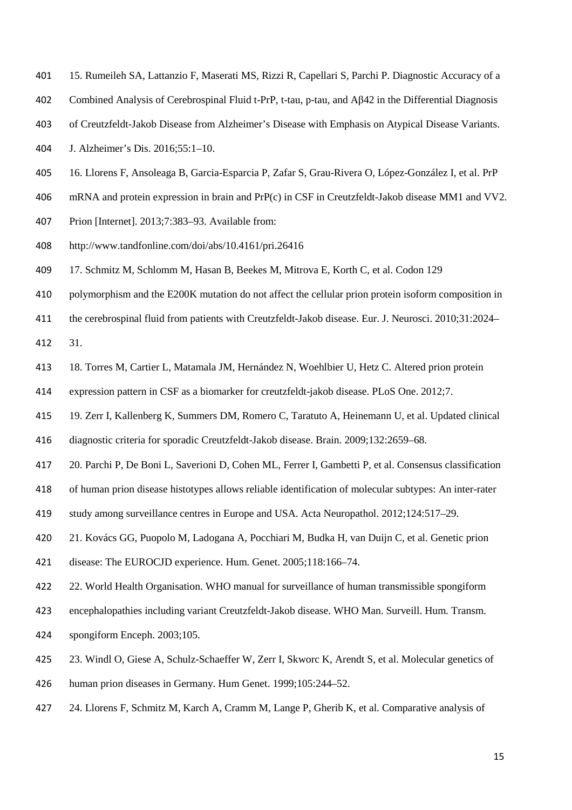- 15. Rumeileh SA, Lattanzio F, Maserati MS, Rizzi R, Capellari S, Parchi P. Diagnostic Accuracy of a
- Combined Analysis of Cerebrospinal Fluid t-PrP, t-tau, p-tau, and Aβ42 in the Differential Diagnosis
- of Creutzfeldt-Jakob Disease from Alzheimer's Disease with Emphasis on Atypical Disease Variants.
- J. Alzheimer's Dis. 2016;55:1–10.
- 16. Llorens F, Ansoleaga B, Garcia-Esparcia P, Zafar S, Grau-Rivera O, López-González I, et al. PrP
- mRNA and protein expression in brain and PrP(c) in CSF in Creutzfeldt-Jakob disease MM1 and VV2.
- Prion [Internet]. 2013;7:383–93. Available from:
- http://www.tandfonline.com/doi/abs/10.4161/pri.26416
- 17. Schmitz M, Schlomm M, Hasan B, Beekes M, Mitrova E, Korth C, et al. Codon 129
- polymorphism and the E200K mutation do not affect the cellular prion protein isoform composition in
- the cerebrospinal fluid from patients with Creutzfeldt-Jakob disease. Eur. J. Neurosci. 2010;31:2024–
- 31.
- 18. Torres M, Cartier L, Matamala JM, Hernández N, Woehlbier U, Hetz C. Altered prion protein
- expression pattern in CSF as a biomarker for creutzfeldt-jakob disease. PLoS One. 2012;7.
- 19. Zerr I, Kallenberg K, Summers DM, Romero C, Taratuto A, Heinemann U, et al. Updated clinical
- diagnostic criteria for sporadic Creutzfeldt-Jakob disease. Brain. 2009;132:2659–68.
- 20. Parchi P, De Boni L, Saverioni D, Cohen ML, Ferrer I, Gambetti P, et al. Consensus classification
- of human prion disease histotypes allows reliable identification of molecular subtypes: An inter-rater
- study among surveillance centres in Europe and USA. Acta Neuropathol. 2012;124:517–29.
- 21. Kovács GG, Puopolo M, Ladogana A, Pocchiari M, Budka H, van Duijn C, et al. Genetic prion
- disease: The EUROCJD experience. Hum. Genet. 2005;118:166–74.
- 22. World Health Organisation. WHO manual for surveillance of human transmissible spongiform
- encephalopathies including variant Creutzfeldt-Jakob disease. WHO Man. Surveill. Hum. Transm.
- spongiform Enceph. 2003;105.
- 23. Windl O, Giese A, Schulz-Schaeffer W, Zerr I, Skworc K, Arendt S, et al. Molecular genetics of
- human prion diseases in Germany. Hum Genet. 1999;105:244–52.
- 24. Llorens F, Schmitz M, Karch A, Cramm M, Lange P, Gherib K, et al. Comparative analysis of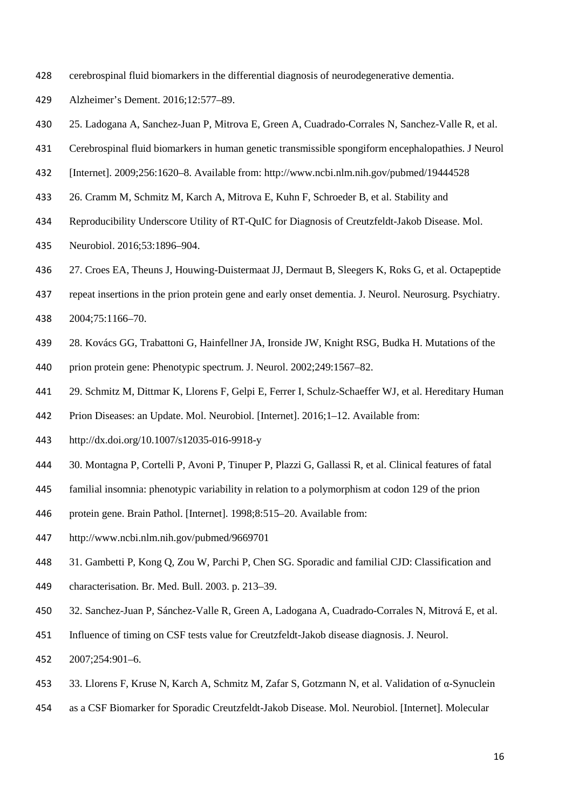- cerebrospinal fluid biomarkers in the differential diagnosis of neurodegenerative dementia.
- Alzheimer's Dement. 2016;12:577–89.
- 25. Ladogana A, Sanchez-Juan P, Mitrova E, Green A, Cuadrado-Corrales N, Sanchez-Valle R, et al.
- Cerebrospinal fluid biomarkers in human genetic transmissible spongiform encephalopathies. J Neurol
- [Internet]. 2009;256:1620–8. Available from: http://www.ncbi.nlm.nih.gov/pubmed/19444528
- 26. Cramm M, Schmitz M, Karch A, Mitrova E, Kuhn F, Schroeder B, et al. Stability and
- Reproducibility Underscore Utility of RT-QuIC for Diagnosis of Creutzfeldt-Jakob Disease. Mol.
- Neurobiol. 2016;53:1896–904.
- 27. Croes EA, Theuns J, Houwing-Duistermaat JJ, Dermaut B, Sleegers K, Roks G, et al. Octapeptide
- 437 repeat insertions in the prion protein gene and early onset dementia. J. Neurol. Neurosurg. Psychiatry.
- 2004;75:1166–70.
- 28. Kovács GG, Trabattoni G, Hainfellner JA, Ironside JW, Knight RSG, Budka H. Mutations of the
- prion protein gene: Phenotypic spectrum. J. Neurol. 2002;249:1567–82.
- 29. Schmitz M, Dittmar K, Llorens F, Gelpi E, Ferrer I, Schulz-Schaeffer WJ, et al. Hereditary Human
- Prion Diseases: an Update. Mol. Neurobiol. [Internet]. 2016;1–12. Available from:
- http://dx.doi.org/10.1007/s12035-016-9918-y
- 30. Montagna P, Cortelli P, Avoni P, Tinuper P, Plazzi G, Gallassi R, et al. Clinical features of fatal
- familial insomnia: phenotypic variability in relation to a polymorphism at codon 129 of the prion
- protein gene. Brain Pathol. [Internet]. 1998;8:515–20. Available from:
- http://www.ncbi.nlm.nih.gov/pubmed/9669701
- 31. Gambetti P, Kong Q, Zou W, Parchi P, Chen SG. Sporadic and familial CJD: Classification and
- characterisation. Br. Med. Bull. 2003. p. 213–39.
- 32. Sanchez-Juan P, Sánchez-Valle R, Green A, Ladogana A, Cuadrado-Corrales N, Mitrová E, et al.
- Influence of timing on CSF tests value for Creutzfeldt-Jakob disease diagnosis. J. Neurol.
- 2007;254:901–6.
- 33. Llorens F, Kruse N, Karch A, Schmitz M, Zafar S, Gotzmann N, et al. Validation of α-Synuclein
- as a CSF Biomarker for Sporadic Creutzfeldt-Jakob Disease. Mol. Neurobiol. [Internet]. Molecular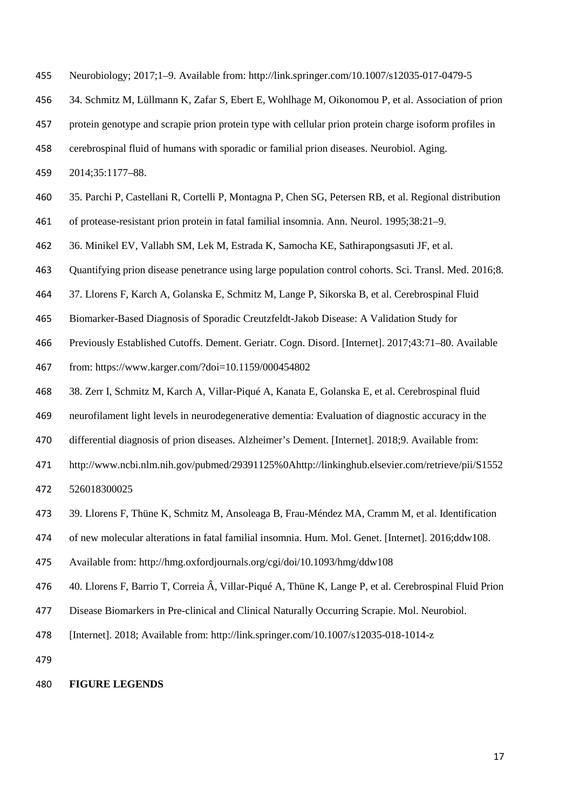- Neurobiology; 2017;1–9. Available from: http://link.springer.com/10.1007/s12035-017-0479-5
- 34. Schmitz M, Lüllmann K, Zafar S, Ebert E, Wohlhage M, Oikonomou P, et al. Association of prion
- protein genotype and scrapie prion protein type with cellular prion protein charge isoform profiles in
- cerebrospinal fluid of humans with sporadic or familial prion diseases. Neurobiol. Aging.
- 2014;35:1177–88.
- 35. Parchi P, Castellani R, Cortelli P, Montagna P, Chen SG, Petersen RB, et al. Regional distribution
- of protease-resistant prion protein in fatal familial insomnia. Ann. Neurol. 1995;38:21–9.
- 36. Minikel EV, Vallabh SM, Lek M, Estrada K, Samocha KE, Sathirapongsasuti JF, et al.

Quantifying prion disease penetrance using large population control cohorts. Sci. Transl. Med. 2016;8.

- 37. Llorens F, Karch A, Golanska E, Schmitz M, Lange P, Sikorska B, et al. Cerebrospinal Fluid
- Biomarker-Based Diagnosis of Sporadic Creutzfeldt-Jakob Disease: A Validation Study for
- Previously Established Cutoffs. Dement. Geriatr. Cogn. Disord. [Internet]. 2017;43:71–80. Available
- from: https://www.karger.com/?doi=10.1159/000454802
- 38. Zerr I, Schmitz M, Karch A, Villar-Piqué A, Kanata E, Golanska E, et al. Cerebrospinal fluid
- neurofilament light levels in neurodegenerative dementia: Evaluation of diagnostic accuracy in the
- differential diagnosis of prion diseases. Alzheimer's Dement. [Internet]. 2018;9. Available from:
- http://www.ncbi.nlm.nih.gov/pubmed/29391125%0Ahttp://linkinghub.elsevier.com/retrieve/pii/S1552
- 526018300025
- 39. Llorens F, Thüne K, Schmitz M, Ansoleaga B, Frau-Méndez MA, Cramm M, et al. Identification
- of new molecular alterations in fatal familial insomnia. Hum. Mol. Genet. [Internet]. 2016;ddw108.
- Available from: http://hmg.oxfordjournals.org/cgi/doi/10.1093/hmg/ddw108
- 40. Llorens F, Barrio T, Correia Â, Villar-Piqué A, Thüne K, Lange P, et al. Cerebrospinal Fluid Prion
- Disease Biomarkers in Pre-clinical and Clinical Naturally Occurring Scrapie. Mol. Neurobiol.
- [Internet]. 2018; Available from: http://link.springer.com/10.1007/s12035-018-1014-z

#### **FIGURE LEGENDS**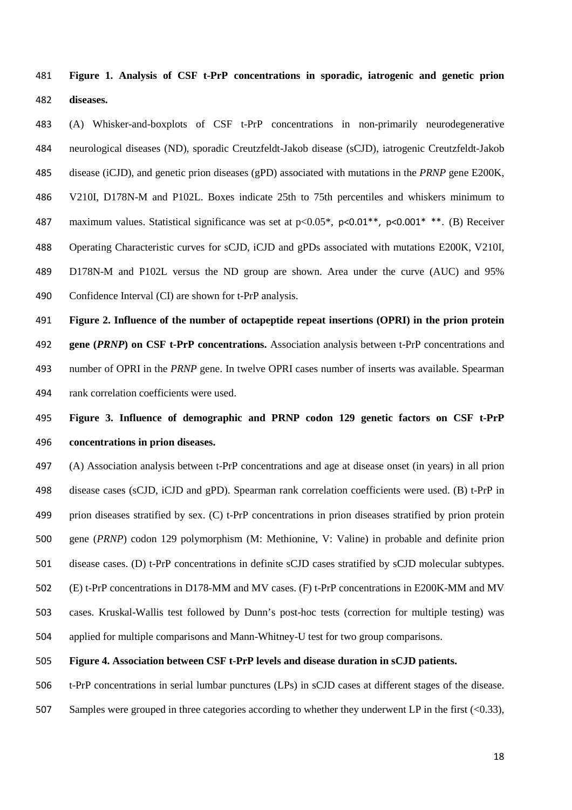**Figure 1. Analysis of CSF t-PrP concentrations in sporadic, iatrogenic and genetic prion diseases.** 

(A) Whisker-and-boxplots of CSF t-PrP concentrations in non-primarily neurodegenerative neurological diseases (ND), sporadic Creutzfeldt-Jakob disease (sCJD), iatrogenic Creutzfeldt-Jakob disease (iCJD), and genetic prion diseases (gPD) associated with mutations in the *PRNP* gene E200K, V210I, D178N-M and P102L. Boxes indicate 25th to 75th percentiles and whiskers minimum to 487 maximum values. Statistical significance was set at  $p<0.05^*$ ,  $p<0.01^{**}$ ,  $p<0.001^{**}$ . (B) Receiver Operating Characteristic curves for sCJD, iCJD and gPDs associated with mutations E200K, V210I, D178N-M and P102L versus the ND group are shown. Area under the curve (AUC) and 95% Confidence Interval (CI) are shown for t-PrP analysis.

**Figure 2. Influence of the number of octapeptide repeat insertions (OPRI) in the prion protein gene (***PRNP***) on CSF t-PrP concentrations.** Association analysis between t-PrP concentrations and number of OPRI in the *PRNP* gene. In twelve OPRI cases number of inserts was available. Spearman rank correlation coefficients were used.

### **Figure 3. Influence of demographic and PRNP codon 129 genetic factors on CSF t-PrP concentrations in prion diseases.**

(A) Association analysis between t-PrP concentrations and age at disease onset (in years) in all prion disease cases (sCJD, iCJD and gPD). Spearman rank correlation coefficients were used. (B) t-PrP in prion diseases stratified by sex. (C) t-PrP concentrations in prion diseases stratified by prion protein gene (*PRNP*) codon 129 polymorphism (M: Methionine, V: Valine) in probable and definite prion disease cases. (D) t-PrP concentrations in definite sCJD cases stratified by sCJD molecular subtypes. (E) t-PrP concentrations in D178-MM and MV cases. (F) t-PrP concentrations in E200K-MM and MV cases. Kruskal-Wallis test followed by Dunn's post-hoc tests (correction for multiple testing) was applied for multiple comparisons and Mann-Whitney-U test for two group comparisons.

#### **Figure 4. Association between CSF t-PrP levels and disease duration in sCJD patients.**

t-PrP concentrations in serial lumbar punctures (LPs) in sCJD cases at different stages of the disease.

507 Samples were grouped in three categories according to whether they underwent LP in the first (<0.33),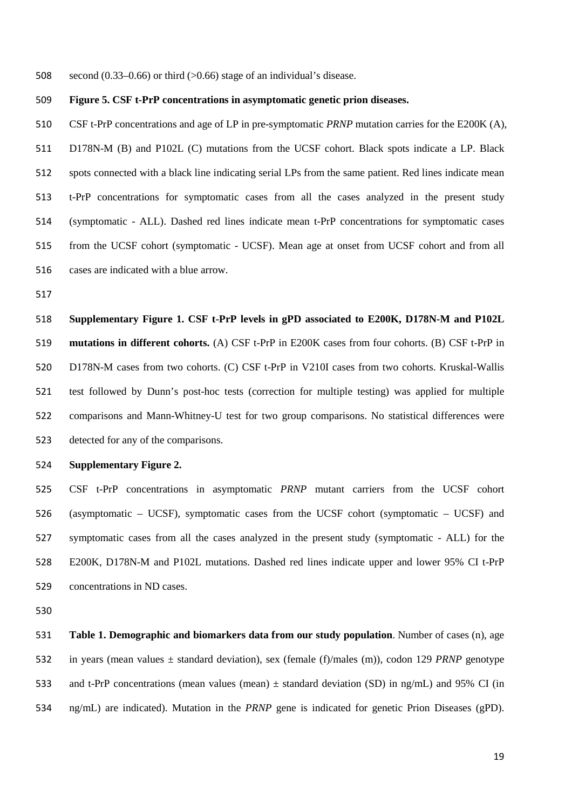508 second  $(0.33-0.66)$  or third  $(>0.66)$  stage of an individual's disease.

#### **Figure 5. CSF t-PrP concentrations in asymptomatic genetic prion diseases.**

CSF t-PrP concentrations and age of LP in pre-symptomatic *PRNP* mutation carries for the E200K (A), D178N-M (B) and P102L (C) mutations from the UCSF cohort. Black spots indicate a LP. Black spots connected with a black line indicating serial LPs from the same patient. Red lines indicate mean t-PrP concentrations for symptomatic cases from all the cases analyzed in the present study (symptomatic - ALL). Dashed red lines indicate mean t-PrP concentrations for symptomatic cases from the UCSF cohort (symptomatic - UCSF). Mean age at onset from UCSF cohort and from all cases are indicated with a blue arrow.

**Supplementary Figure 1. CSF t-PrP levels in gPD associated to E200K, D178N-M and P102L mutations in different cohorts.** (A) CSF t-PrP in E200K cases from four cohorts. (B) CSF t-PrP in D178N-M cases from two cohorts. (C) CSF t-PrP in V210I cases from two cohorts. Kruskal-Wallis test followed by Dunn's post-hoc tests (correction for multiple testing) was applied for multiple comparisons and Mann-Whitney-U test for two group comparisons. No statistical differences were detected for any of the comparisons.

#### **Supplementary Figure 2.**

CSF t-PrP concentrations in asymptomatic *PRNP* mutant carriers from the UCSF cohort (asymptomatic – UCSF), symptomatic cases from the UCSF cohort (symptomatic – UCSF) and symptomatic cases from all the cases analyzed in the present study (symptomatic - ALL) for the E200K, D178N-M and P102L mutations. Dashed red lines indicate upper and lower 95% CI t-PrP concentrations in ND cases.

**Table 1. Demographic and biomarkers data from our study population**. Number of cases (n), age in years (mean values ± standard deviation), sex (female (f)/males (m)), codon 129 *PRNP* genotype 533 and t-PrP concentrations (mean values (mean)  $\pm$  standard deviation (SD) in ng/mL) and 95% CI (in ng/mL) are indicated). Mutation in the *PRNP* gene is indicated for genetic Prion Diseases (gPD).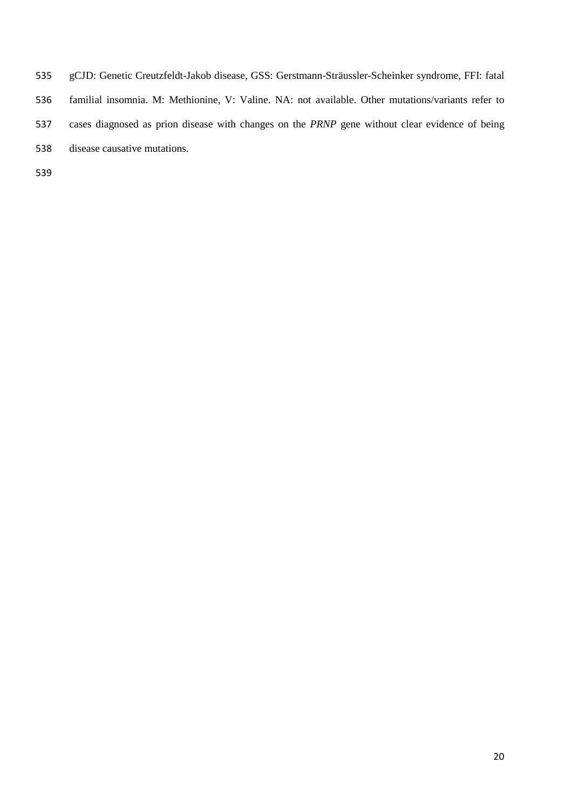| 535 | gCJD: Genetic Creutzfeldt-Jakob disease, GSS: Gerstmann-Sträussler-Scheinker syndrome, FFI: fatal     |
|-----|-------------------------------------------------------------------------------------------------------|
| 536 | familial insomnia. M: Methionine, V: Valine. NA: not available. Other mutations/variants refer to     |
| 537 | cases diagnosed as prion disease with changes on the <i>PRNP</i> gene without clear evidence of being |
| 538 | disease causative mutations.                                                                          |
|     |                                                                                                       |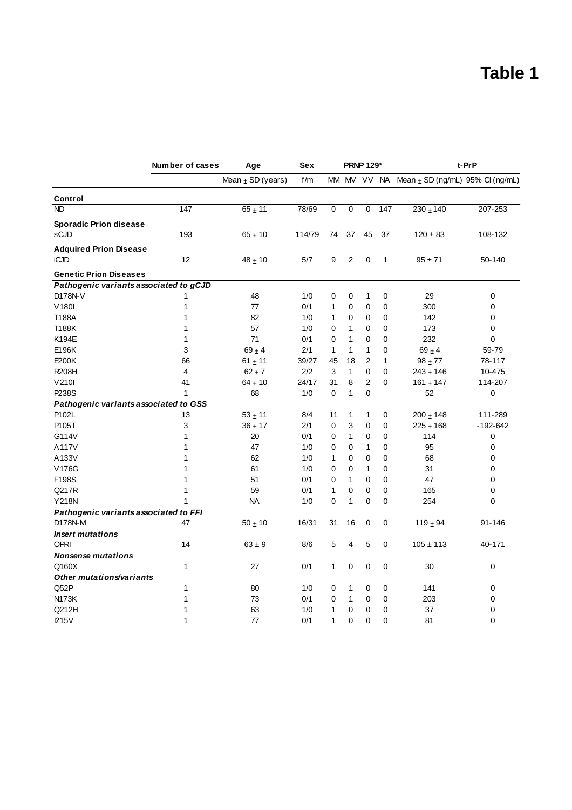## **Table 1**

|                                        | Number of cases | Age                   | <b>Sex</b> | <b>PRNP 129*</b> |                |                |              | t-PrP                                            |              |
|----------------------------------------|-----------------|-----------------------|------------|------------------|----------------|----------------|--------------|--------------------------------------------------|--------------|
|                                        |                 | Mean $\pm$ SD (years) | f/m        |                  |                |                |              | MM MV VV NA Mean $\pm$ SD (ng/mL) 95% CI (ng/mL) |              |
| Control                                |                 |                       |            |                  |                |                |              |                                                  |              |
| <b>ND</b>                              | 147             | $65 + 11$             | 78/69      | 0                | 0              | 0              | 147          | $230 \pm 140$                                    | 207-253      |
| <b>Sporadic Prion disease</b>          |                 |                       |            |                  |                |                |              |                                                  |              |
| sCJD                                   | 193             | $65 + 10$             | 114/79     | 74               | 37             | 45             | 37           | $120 \pm 83$                                     | 108-132      |
| <b>Adquired Prion Disease</b>          |                 |                       |            |                  |                |                |              |                                                  |              |
| iCJD                                   | 12              | $48 + 10$             | 5/7        | 9                | $\overline{2}$ | $\overline{0}$ | $\mathbf{1}$ | $95 \pm 71$                                      | 50-140       |
| <b>Genetic Prion Diseases</b>          |                 |                       |            |                  |                |                |              |                                                  |              |
| Pathogenic variants associated to gCJD |                 |                       |            |                  |                |                |              |                                                  |              |
| D178N-V                                | 1               | 48                    | 1/0        | 0                | 0              | 1              | 0            | 29                                               | 0            |
| V180I                                  | $\mathbf{1}$    | 77                    | 0/1        | 1                | 0              | 0              | 0            | 300                                              | 0            |
| T188A                                  | $\mathbf{1}$    | 82                    | 1/0        | 1                | 0              | 0              | 0            | 142                                              | 0            |
| T188K                                  | 1               | 57                    | 1/0        | 0                | 1              | 0              | 0            | 173                                              | 0            |
| K194E                                  | 1               | 71                    | 0/1        | 0                | 1              | $\mathbf 0$    | $\mathbf 0$  | 232                                              | 0            |
| E196K                                  | 3               | $69 + 4$              | 2/1        | 1                | 1              | $\mathbf{1}$   | $\mathbf 0$  | $69 + 4$                                         | 59-79        |
| E200K                                  | 66              | $61 \pm 11$           | 39/27      | 45               | 18             | $\overline{2}$ | 1            | $98 + 77$                                        | 78-117       |
| <b>R208H</b>                           | $\overline{4}$  | $62 \pm 7$            | 2/2        | $\sqrt{3}$       | $\mathbf{1}$   | $\mathbf 0$    | $\mathbf 0$  | $243 \pm 146$                                    | 10-475       |
| V210I                                  | 41              | $64 \pm 10$           | 24/17      | 31               | 8              | $\overline{2}$ | $\mathbf 0$  | 161 $\pm$ 147                                    | 114-207      |
| P238S                                  | 1               | 68                    | 1/0        | 0                | 1              | 0              |              | 52                                               | 0            |
| Pathogenic variants associated to GSS  |                 |                       |            |                  |                |                |              |                                                  |              |
| P102L                                  | 13              | $53 + 11$             | 8/4        | 11               | 1              | 1              | 0            | $200 \pm 148$                                    | 111-289      |
| P105T                                  | 3               | $36 + 17$             | 2/1        | 0                | 3              | 0              | 0            | $225 \pm 168$                                    | $-192 - 642$ |
| G114V                                  | 1               | 20                    | 0/1        | 0                | $\mathbf{1}$   | 0              | $\mathbf 0$  | 114                                              | 0            |
| A117V                                  | 1               | 47                    | 1/0        | 0                | 0              | 1              | 0            | 95                                               | 0            |
| A133V                                  | 1               | 62                    | 1/0        | 1                | 0              | 0              | 0            | 68                                               | 0            |
| V176G                                  | 1               | 61                    | 1/0        | 0                | 0              | 1              | 0            | 31                                               | 0            |
| F198S                                  | 1               | 51                    | 0/1        | 0                | $\mathbf{1}$   | 0              | $\mathbf 0$  | 47                                               | 0            |
| Q217R                                  | 1               | 59                    | 0/1        | 1                | 0              | $\mathbf 0$    | $\mathbf 0$  | 165                                              | 0            |
| <b>Y218N</b>                           | 1               | <b>NA</b>             | 1/0        | 0                | 1              | $\mathbf 0$    | $\mathbf 0$  | 254                                              | 0            |
| Pathogenic variants associated to FFI  |                 |                       |            |                  |                |                |              |                                                  |              |
| D178N-M                                | 47              | $50 \pm 10$           | 16/31      | 31               | 16             | 0              | 0            | 119 $\pm$ 94                                     | $91 - 146$   |
| <b>Insert mutations</b>                |                 |                       |            |                  |                |                |              |                                                  |              |
| <b>OPRI</b>                            | 14              | $63 \pm 9$            | 8/6        | 5                | 4              | 5              | 0            | $105 \pm 113$                                    | 40-171       |
| <b>Nonsense mutations</b>              |                 |                       |            |                  |                |                |              |                                                  |              |
| Q160X                                  | 1               | 27                    | 0/1        | 1                | 0              | $\mathbf 0$    | $\mathbf 0$  | 30                                               | 0            |
| Other mutations/variants               |                 |                       |            |                  |                |                |              |                                                  |              |
| Q52P                                   | 1               | 80                    | 1/0        | 0                | 1              | 0              | 0            | 141                                              | 0            |
| <b>N173K</b>                           | 1               | 73                    | 0/1        | 0                | 1              | 0              | $\mathbf 0$  | 203                                              | 0            |
| Q212H                                  | 1               | 63                    | 1/0        | 1                | 0              | 0              | 0            | 37                                               | 0            |
| 1215V                                  | 1               | 77                    | 0/1        | 1                | 0              | $\mathbf 0$    | $\mathbf 0$  | 81                                               | $\mathbf 0$  |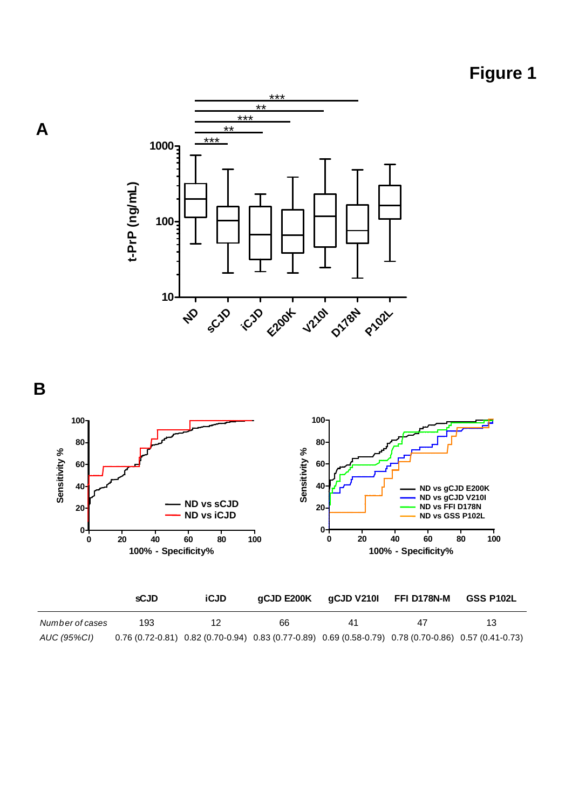



**A**



|                 | sCJD | iCJD | gCJD E200K | gCJD V210I | FFI D178N-M                                                                                           | <b>GSS P102L</b> |
|-----------------|------|------|------------|------------|-------------------------------------------------------------------------------------------------------|------------------|
| Number of cases | 193. |      | 66         | 41         |                                                                                                       | 13               |
| AUC (95%CI)     |      |      |            |            | 0.76 (0.72-0.81) 0.82 (0.70-0.94) 0.83 (0.77-0.89) 0.69 (0.58-0.79) 0.78 (0.70-0.86) 0.57 (0.41-0.73) |                  |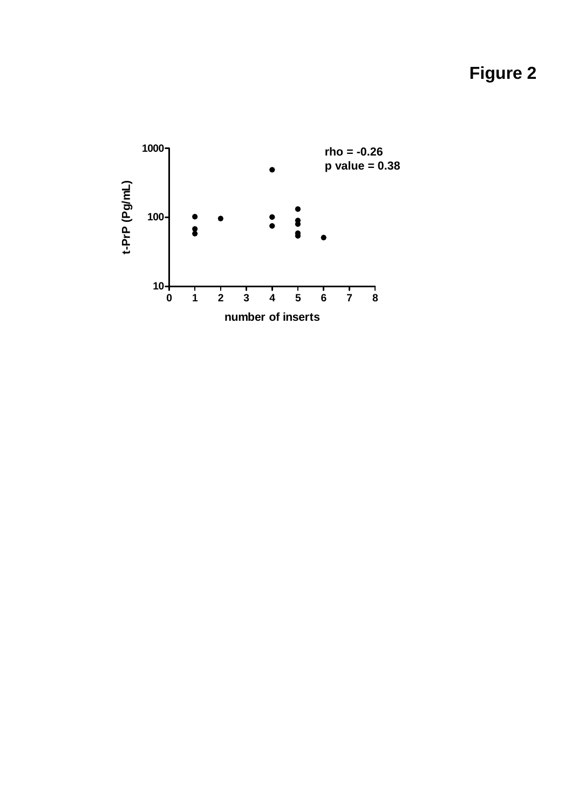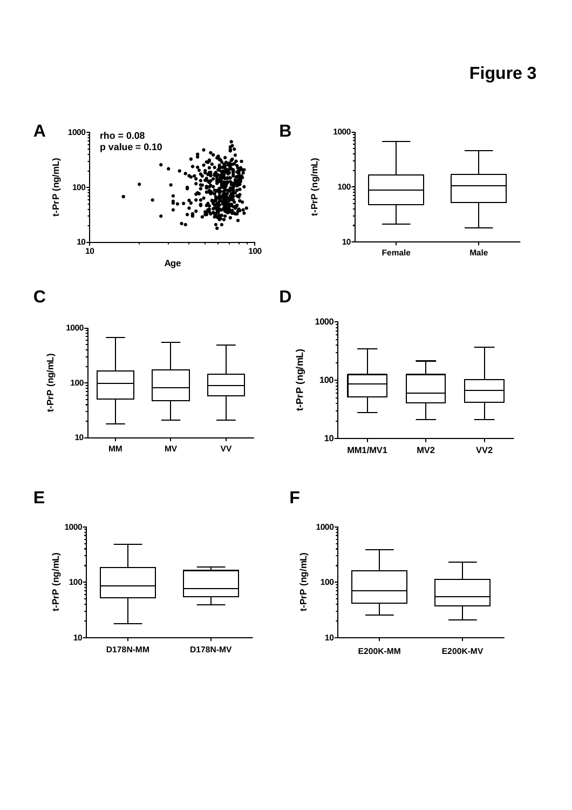













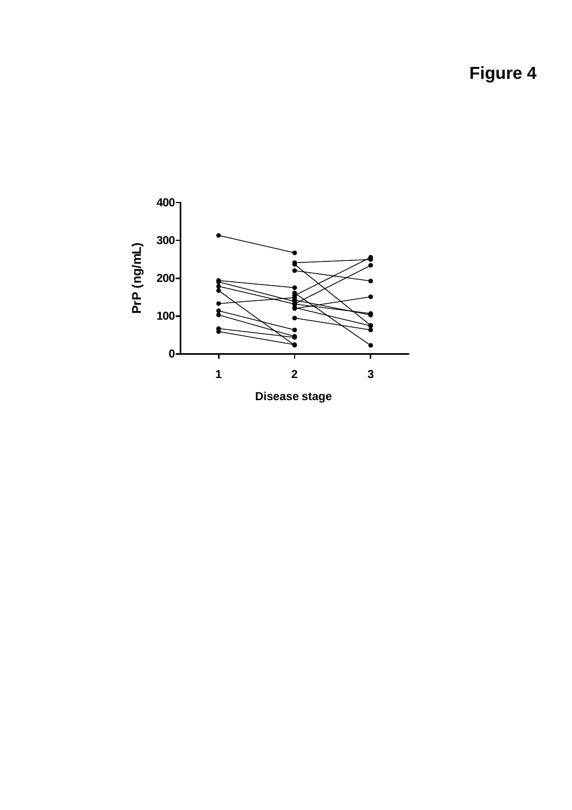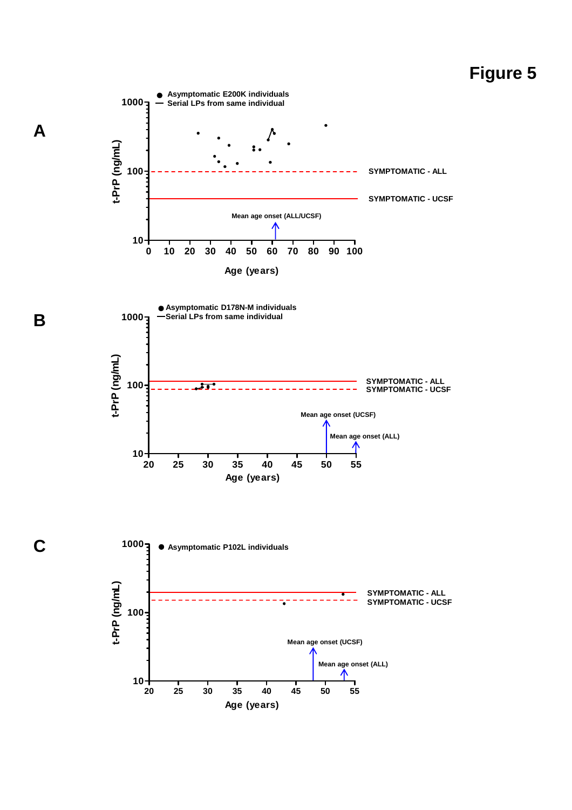

**B**

**C**

**A**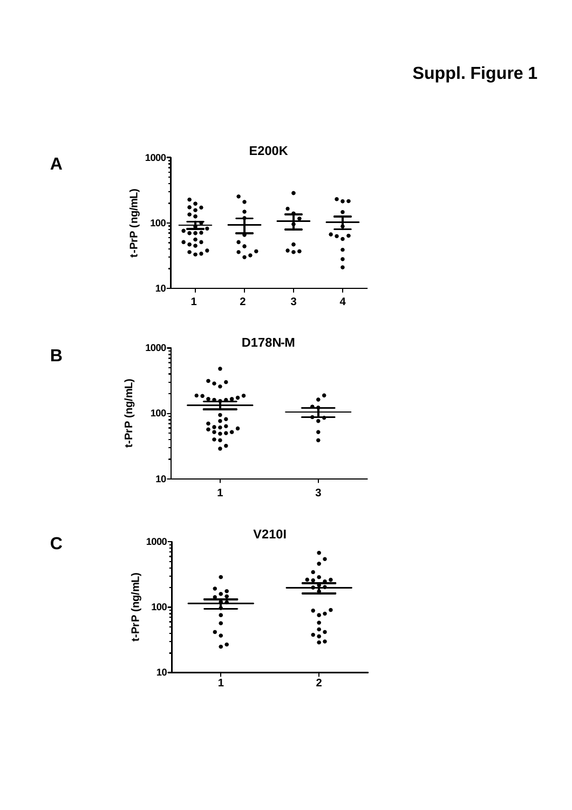# **Suppl. Figure 1**